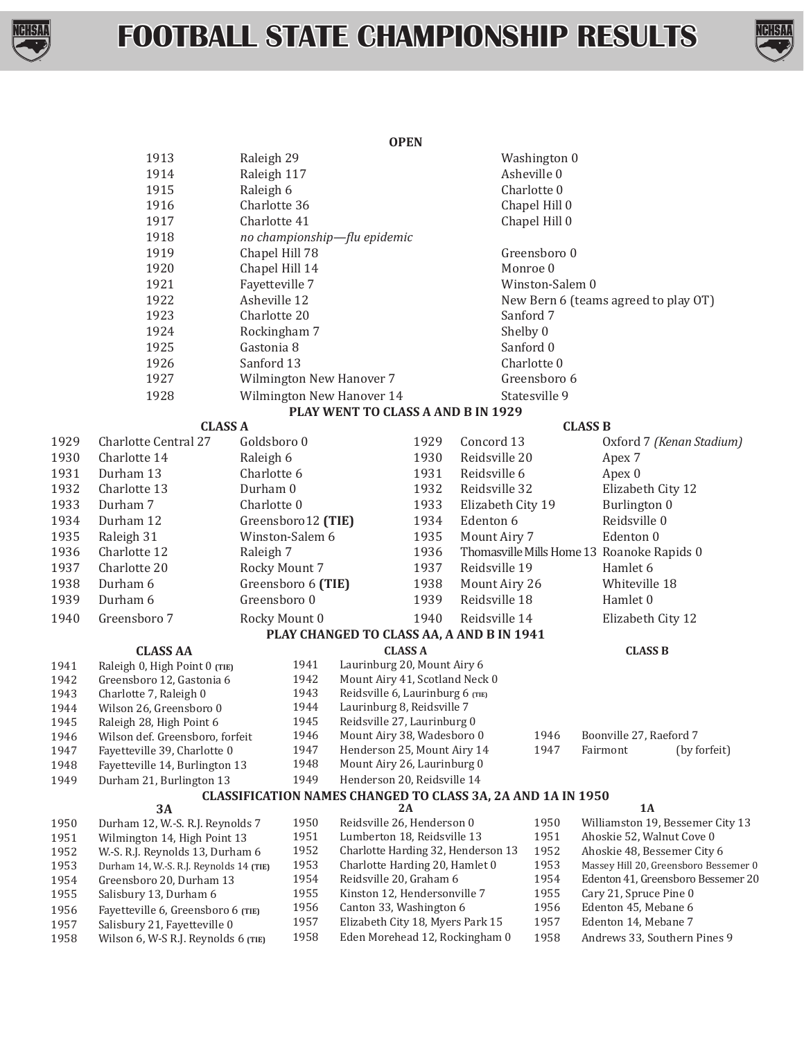

1948<br>1949

<br> $1952$ 

1955<br>1956

 $\begin{array}{l} 1957 \\ 1958 \end{array}$ 

## **FOOTBALL STATE CHAMPIONSHIP RESULTS**



|              |                                                    |                                      |              |                                                                      | <b>OPEN</b>                 |               |                             |                                            |                                                                             |
|--------------|----------------------------------------------------|--------------------------------------|--------------|----------------------------------------------------------------------|-----------------------------|---------------|-----------------------------|--------------------------------------------|-----------------------------------------------------------------------------|
|              | 1913                                               | Raleigh 29                           |              |                                                                      |                             |               | Washington 0                |                                            |                                                                             |
|              | 1914                                               | Raleigh 117                          |              |                                                                      |                             |               | Asheville 0                 |                                            |                                                                             |
|              | 1915                                               | Raleigh 6                            |              |                                                                      |                             |               | Charlotte 0                 |                                            |                                                                             |
|              | 1916                                               | Charlotte 36                         |              |                                                                      |                             |               | Chapel Hill 0               |                                            |                                                                             |
|              | 1917                                               | Charlotte 41                         |              |                                                                      |                             |               | Chapel Hill 0               |                                            |                                                                             |
|              | 1918                                               |                                      |              | no championship-flu epidemic                                         |                             |               |                             |                                            |                                                                             |
|              | 1919                                               | Chapel Hill 78                       |              |                                                                      |                             |               | Greensboro 0                |                                            |                                                                             |
|              | 1920                                               | Chapel Hill 14                       |              |                                                                      |                             |               | Monroe 0                    |                                            |                                                                             |
|              | 1921                                               | Fayetteville 7                       |              |                                                                      |                             |               | Winston-Salem 0             |                                            |                                                                             |
|              | 1922                                               | Asheville 12                         |              |                                                                      |                             |               |                             | New Bern 6 (teams agreed to play OT)       |                                                                             |
|              | 1923                                               | Charlotte 20                         |              |                                                                      |                             |               | Sanford 7                   |                                            |                                                                             |
|              | 1924                                               | Rockingham 7                         |              |                                                                      |                             | Shelby 0      |                             |                                            |                                                                             |
|              | 1925                                               | Gastonia 8                           |              |                                                                      |                             |               | Sanford 0                   |                                            |                                                                             |
|              | 1926                                               | Sanford 13                           |              |                                                                      |                             |               | Charlotte 0                 |                                            |                                                                             |
|              | 1927                                               |                                      |              | Wilmington New Hanover 7                                             |                             |               | Greensboro 6                |                                            |                                                                             |
|              |                                                    |                                      |              |                                                                      |                             |               |                             |                                            |                                                                             |
|              | 1928                                               |                                      |              | Wilmington New Hanover 14                                            |                             |               | Statesville 9               |                                            |                                                                             |
|              | <b>CLASS A</b>                                     |                                      |              | PLAY WENT TO CLASS A AND B IN 1929                                   |                             |               |                             | <b>CLASS B</b>                             |                                                                             |
| 1929         | <b>Charlotte Central 27</b>                        | Goldsboro 0                          |              |                                                                      | 1929                        | Concord 13    |                             |                                            | Oxford 7 (Kenan Stadium)                                                    |
| 1930         | Charlotte 14                                       |                                      |              |                                                                      | 1930                        | Reidsville 20 |                             |                                            |                                                                             |
| 1931         | Durham 13                                          | Raleigh 6<br>Charlotte 6             |              |                                                                      | 1931                        | Reidsville 6  |                             | Apex 7                                     |                                                                             |
|              | Charlotte 13                                       |                                      |              |                                                                      | 1932                        |               |                             | Apex 0                                     |                                                                             |
| 1932         |                                                    | Durham 0                             |              |                                                                      |                             | Reidsville 32 |                             | Elizabeth City 12<br>Burlington 0          |                                                                             |
| 1933         | Durham 7                                           | Charlotte 0                          |              |                                                                      | 1933                        |               | Elizabeth City 19           |                                            |                                                                             |
| 1934         | Durham 12                                          | Greensboro12 (TIE)                   |              |                                                                      | 1934                        | Edenton 6     |                             | Reidsville 0                               |                                                                             |
| 1935         | Raleigh 31                                         | Winston-Salem 6                      |              |                                                                      | 1935                        | Mount Airy 7  |                             | Edenton 0                                  |                                                                             |
| 1936         | Charlotte 12                                       | Raleigh 7                            |              |                                                                      | 1936                        |               |                             | Thomasville Mills Home 13 Roanoke Rapids 0 |                                                                             |
| 1937         | Charlotte 20                                       | Rocky Mount 7                        |              |                                                                      | 1937                        | Reidsville 19 |                             | Hamlet 6                                   |                                                                             |
| 1938         | Durham 6                                           | Greensboro 6 (TIE)                   |              |                                                                      | 1938                        | Mount Airy 26 |                             | Whiteville 18                              |                                                                             |
| 1939         | Durham 6                                           | Greensboro 0                         |              |                                                                      | 1939                        | Reidsville 18 |                             | Hamlet 0                                   |                                                                             |
| 1940         | Greensboro 7                                       | Rocky Mount 0                        |              |                                                                      | 1940                        | Reidsville 14 |                             | Elizabeth City 12                          |                                                                             |
|              |                                                    |                                      |              | PLAY CHANGED TO CLASS AA, A AND B IN 1941                            |                             |               |                             |                                            |                                                                             |
|              | <b>CLASS AA</b>                                    |                                      |              |                                                                      | <b>CLASS A</b>              |               |                             | <b>CLASS B</b>                             |                                                                             |
| 1941         | Raleigh 0, High Point 0 (TIE)                      |                                      | 1941         | Laurinburg 20, Mount Airy 6                                          |                             |               |                             |                                            |                                                                             |
| 1942         | Greensboro 12, Gastonia 6                          |                                      | 1942         | Mount Airy 41, Scotland Neck 0                                       |                             |               |                             |                                            |                                                                             |
| 1943<br>1944 | Charlotte 7, Raleigh 0<br>Wilson 26, Greensboro 0  |                                      | 1943<br>1944 | Reidsville 6, Laurinburg 6 (TIE)<br>Laurinburg 8, Reidsville 7       |                             |               |                             |                                            |                                                                             |
| 1945         | Raleigh 28, High Point 6                           |                                      | 1945         | Reidsville 27, Laurinburg 0                                          |                             |               |                             |                                            |                                                                             |
| 1946         | Wilson def. Greensboro, forfeit                    |                                      | 1946         | Mount Airy 38, Wadesboro 0                                           |                             |               | 1946                        | Boonville 27, Raeford 7                    |                                                                             |
| 1947         | Fayetteville 39, Charlotte 0                       |                                      | 1947         | Henderson 25, Mount Airy 14                                          |                             |               | 1947                        | Fairmont                                   | (by forfeit)                                                                |
| 1948         | Fayetteville 14, Burlington 13                     |                                      | 1948         | Mount Airy 26, Laurinburg 0                                          |                             |               |                             |                                            |                                                                             |
| 1949         | Durham 21, Burlington 13                           |                                      | 1949         | Henderson 20, Reidsville 14                                          |                             |               |                             |                                            |                                                                             |
|              |                                                    |                                      |              | <b>CLASSIFICATION NAMES CHANGED TO CLASS 3A, 2A AND 1A IN 1950</b>   |                             |               |                             |                                            |                                                                             |
|              | 3A                                                 |                                      |              |                                                                      | 2A                          |               |                             | 1A                                         |                                                                             |
| 1950         | Durham 12, W.-S. R.J. Reynolds 7                   |                                      | 1950         | Reidsville 26, Henderson 0                                           |                             |               | 1950                        |                                            | Williamston 19, Bessemer City 13                                            |
| 1951         |                                                    | 1951<br>Wilmington 14, High Point 13 |              |                                                                      | Lumberton 18, Reidsville 13 |               | 1951                        | Ahoskie 52, Walnut Cove 0                  |                                                                             |
| 1952         | W.-S. R.J. Reynolds 13, Durham 6                   | 1952                                 |              | Charlotte Harding 32, Henderson 13<br>Charlotte Harding 20, Hamlet 0 |                             | 1952          | Ahoskie 48, Bessemer City 6 |                                            |                                                                             |
| 1953         | Durham 14, W.-S. R.J. Reynolds 14 (TIE)            |                                      | 1953<br>1954 | Reidsville 20, Graham 6                                              |                             |               | 1953<br>1954                |                                            | Massey Hill 20, Greensboro Bessemer 0<br>Edenton 41, Greensboro Bessemer 20 |
| 1954<br>1955 | Greensboro 20, Durham 13<br>Salisbury 13, Durham 6 |                                      | 1955         | Kinston 12, Hendersonville 7                                         |                             |               | 1955                        | Cary 21, Spruce Pine 0                     |                                                                             |
| 1956         | Fayetteville 6, Greensboro 6 (TIE)                 |                                      | 1956         | Canton 33, Washington 6                                              |                             |               | 1956                        | Edenton 45, Mebane 6                       |                                                                             |
| 1957         | Salisbury 21, Fayetteville 0                       |                                      | 1957         | Elizabeth City 18, Myers Park 15                                     |                             |               | 1957                        | Edenton 14, Mebane 7                       |                                                                             |
| 1958         | Wilson 6, W-S R.J. Reynolds 6 (TIE)                |                                      | 1958         | Eden Morehead 12, Rockingham 0                                       |                             |               | 1958                        | Andrews 33, Southern Pines 9               |                                                                             |
|              |                                                    |                                      |              |                                                                      |                             |               |                             |                                            |                                                                             |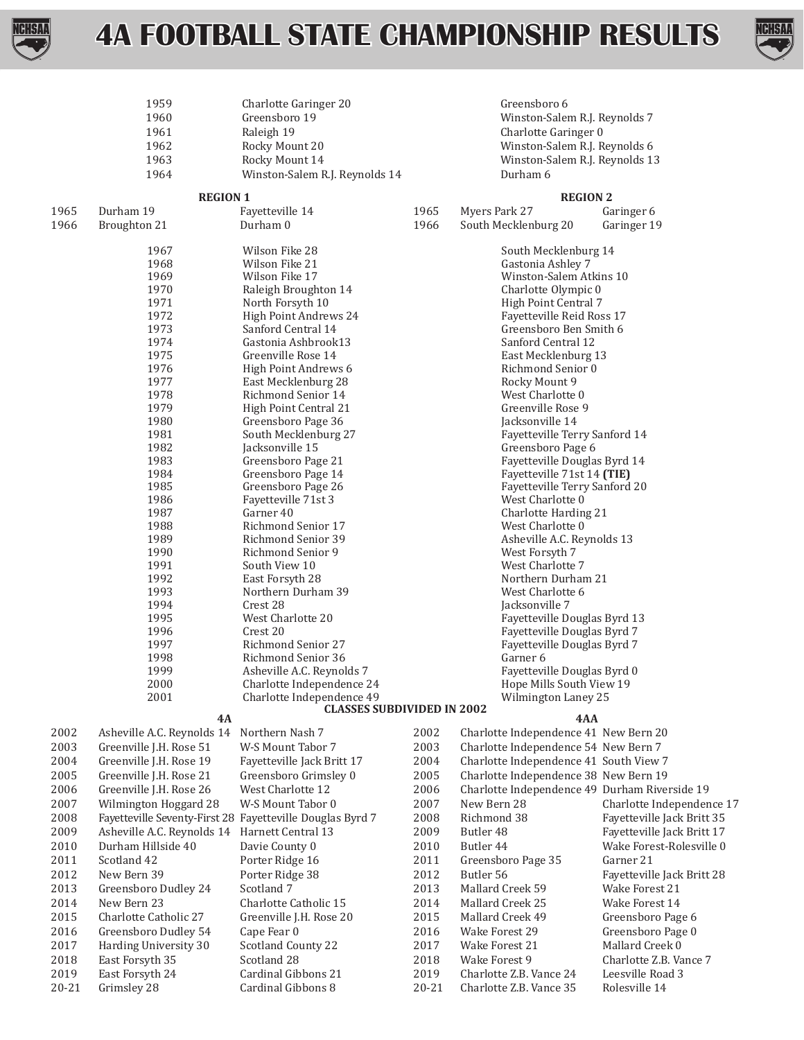



|      | 1959                             | Charlotte Garinger 20                                     |      | Greensboro 6                                            |                            |
|------|----------------------------------|-----------------------------------------------------------|------|---------------------------------------------------------|----------------------------|
|      | 1960                             | Greensboro 19                                             |      | Winston-Salem R.J. Reynolds 7                           |                            |
|      | 1961                             | Raleigh 19                                                |      | Charlotte Garinger 0                                    |                            |
|      | 1962                             | Rocky Mount 20                                            |      | Winston-Salem R.J. Reynolds 6                           |                            |
|      | 1963                             | Rocky Mount 14                                            |      | Winston-Salem R.J. Reynolds 13                          |                            |
|      | 1964                             | Winston-Salem R.J. Reynolds 14                            |      | Durham 6                                                |                            |
|      | <b>REGION 1</b>                  |                                                           |      | <b>REGION 2</b>                                         |                            |
| 1965 | Durham 19                        | Fayetteville 14                                           | 1965 | Myers Park 27                                           | Garinger 6                 |
| 1966 | Broughton 21                     | Durham 0                                                  | 1966 | South Mecklenburg 20                                    | Garinger 19                |
|      | 1967                             | Wilson Fike 28                                            |      | South Mecklenburg 14                                    |                            |
|      | 1968                             | Wilson Fike 21                                            |      | Gastonia Ashley 7                                       |                            |
|      | 1969                             | Wilson Fike 17                                            |      | Winston-Salem Atkins 10                                 |                            |
|      | 1970                             | Raleigh Broughton 14                                      |      | Charlotte Olympic 0                                     |                            |
|      | 1971                             | North Forsyth 10                                          |      | High Point Central 7                                    |                            |
|      | 1972                             | High Point Andrews 24                                     |      | Fayetteville Reid Ross 17                               |                            |
|      | 1973                             | Sanford Central 14                                        |      | Greensboro Ben Smith 6                                  |                            |
|      | 1974<br>1975                     | Gastonia Ashbrook13<br>Greenville Rose 14                 |      | Sanford Central 12<br>East Mecklenburg 13               |                            |
|      | 1976                             | High Point Andrews 6                                      |      | Richmond Senior 0                                       |                            |
|      | 1977                             | East Mecklenburg 28                                       |      | Rocky Mount 9                                           |                            |
|      | 1978                             | Richmond Senior 14                                        |      | West Charlotte 0                                        |                            |
|      | 1979                             | High Point Central 21                                     |      | Greenville Rose 9                                       |                            |
|      | 1980                             | Greensboro Page 36                                        |      | Jacksonville 14                                         |                            |
|      | 1981                             | South Mecklenburg 27                                      |      | Fayetteville Terry Sanford 14                           |                            |
|      | 1982<br>1983                     | Jacksonville 15<br>Greensboro Page 21                     |      | Greensboro Page 6<br>Fayetteville Douglas Byrd 14       |                            |
|      | 1984                             | Greensboro Page 14                                        |      | Fayetteville 71st 14 (TIE)                              |                            |
|      | 1985                             | Greensboro Page 26                                        |      | Fayetteville Terry Sanford 20                           |                            |
|      | 1986                             | Fayetteville 71st 3                                       |      | West Charlotte 0                                        |                            |
|      | 1987                             | Garner 40                                                 |      | Charlotte Harding 21                                    |                            |
|      | 1988                             | Richmond Senior 17                                        |      | West Charlotte 0                                        |                            |
|      | 1989                             | Richmond Senior 39                                        |      | Asheville A.C. Reynolds 13                              |                            |
|      | 1990                             | Richmond Senior 9                                         |      | West Forsyth 7                                          |                            |
|      | 1991<br>1992                     | South View 10<br>East Forsyth 28                          |      | West Charlotte 7<br>Northern Durham 21                  |                            |
|      | 1993                             | Northern Durham 39                                        |      | West Charlotte 6                                        |                            |
|      | 1994                             | Crest 28                                                  |      | Jacksonville 7                                          |                            |
|      | 1995                             | West Charlotte 20                                         |      | Fayetteville Douglas Byrd 13                            |                            |
|      | 1996                             | Crest 20                                                  |      | Fayetteville Douglas Byrd 7                             |                            |
|      | 1997                             | <b>Richmond Senior 27</b>                                 |      | Fayetteville Douglas Byrd 7                             |                            |
|      | 1998                             | <b>Richmond Senior 36</b>                                 |      | Garner 6                                                |                            |
|      | 1999<br>2000                     | Asheville A.C. Reynolds 7<br>Charlotte Independence 24    |      | Fayetteville Douglas Byrd 0<br>Hope Mills South View 19 |                            |
|      | 2001                             | Charlotte Independence 49                                 |      | Wilmington Laney 25                                     |                            |
|      |                                  | <b>CLASSES SUBDIVIDED IN 2002</b>                         |      |                                                         |                            |
| 2002 | 4A<br>Asheville A.C. Reynolds 14 | Northern Nash 7                                           | 2002 | 4AA<br>Charlotte Independence 41 New Bern 20            |                            |
| 2003 | Greenville J.H. Rose 51          | W-S Mount Tabor 7                                         | 2003 | Charlotte Independence 54 New Bern 7                    |                            |
| 2004 | Greenville J.H. Rose 19          | Fayetteville Jack Britt 17                                | 2004 | Charlotte Independence 41 South View 7                  |                            |
| 2005 | Greenville J.H. Rose 21          | Greensboro Grimsley 0                                     | 2005 | Charlotte Independence 38 New Bern 19                   |                            |
| 2006 | Greenville J.H. Rose 26          | West Charlotte 12                                         | 2006 | Charlotte Independence 49 Durham Riverside 19           |                            |
| 2007 | Wilmington Hoggard 28            | W-S Mount Tabor 0                                         | 2007 | New Bern 28                                             | Charlotte Independence 17  |
| 2008 |                                  | Fayetteville Seventy-First 28 Fayetteville Douglas Byrd 7 | 2008 | Richmond 38                                             | Fayetteville Jack Britt 35 |
| 2009 | Asheville A.C. Reynolds 14       | Harnett Central 13                                        | 2009 | Butler 48                                               | Fayetteville Jack Britt 17 |
| 2010 | Durham Hillside 40               | Davie County 0                                            | 2010 | Butler 44                                               | Wake Forest-Rolesville 0   |
| 2011 | Scotland 42                      | Porter Ridge 16                                           | 2011 | Greensboro Page 35                                      | Garner 21                  |
| 2012 | New Bern 39                      | Porter Ridge 38                                           | 2012 | Butler 56                                               | Fayetteville Jack Britt 28 |
| 2013 | Greensboro Dudley 24             | Scotland 7                                                | 2013 | Mallard Creek 59                                        | Wake Forest 21             |
| 2014 | New Bern 23                      | Charlotte Catholic 15                                     | 2014 | Mallard Creek 25                                        | Wake Forest 14             |
| 2015 | Charlotte Catholic 27            | Greenville J.H. Rose 20                                   | 2015 | Mallard Creek 49                                        | Greensboro Page 6          |
| 2016 | Greensboro Dudley 54             | Cape Fear 0                                               | 2016 | Wake Forest 29                                          | Greensboro Page 0          |
| 2017 | Harding University 30            | Scotland County 22                                        | 2017 | Wake Forest 21                                          | Mallard Creek 0            |

2018 East Forsyth 35 Scotland 28<br>
2019 East Forsyth 24 Cardinal Gib 2019 East Forsyth 24 Cardinal Gibbons 21<br>20-21 Grimsley 28 Cardinal Gibbons 8

Cardinal Gibbons 8

2018 Wake Forest 9 Charlotte Z.B. Vance 7<br>2019 Charlotte Z.B. Vance 24 Leesville Road 3 2019 Charlotte Z.B. Vance 24 Leesville Road 20-21 Charlotte Z.B. Vance 35 Rolesville 14 Charlotte Z.B. Vance 35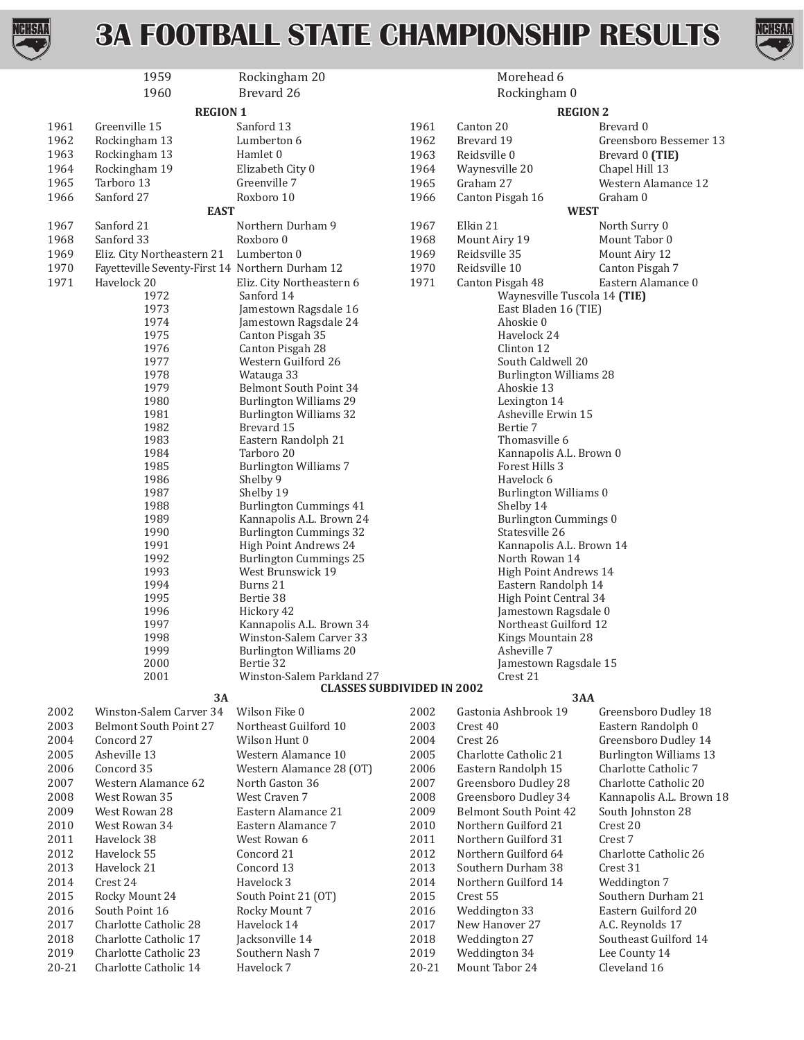

## **3A FOOTBALL STATE CHAMPIONSHIP RESULTS**



|           | 1959<br>Rockingham 20                            |                                                        |                 | Morehead 6                                  |                               |  |  |
|-----------|--------------------------------------------------|--------------------------------------------------------|-----------------|---------------------------------------------|-------------------------------|--|--|
|           | 1960<br>Brevard 26                               |                                                        |                 | Rockingham 0                                |                               |  |  |
|           |                                                  |                                                        |                 |                                             |                               |  |  |
|           | <b>REGION 1</b>                                  |                                                        | <b>REGION 2</b> |                                             |                               |  |  |
| 1961      | Greenville 15                                    | Sanford 13                                             | 1961            | Canton 20                                   | Brevard 0                     |  |  |
| 1962      | Rockingham 13                                    | Lumberton 6                                            | 1962            | Brevard 19                                  | Greensboro Bessemer 13        |  |  |
| 1963      | Rockingham 13                                    | Hamlet 0                                               | 1963            | Reidsville 0                                | Brevard 0 (TIE)               |  |  |
| 1964      | Rockingham 19                                    | Elizabeth City 0                                       | 1964            | Waynesville 20                              | Chapel Hill 13                |  |  |
| 1965      | Tarboro 13                                       | Greenville 7                                           | 1965            | Graham 27                                   | Western Alamance 12           |  |  |
| 1966      | Sanford 27                                       | Roxboro 10                                             | 1966            | Canton Pisgah 16                            | Graham 0                      |  |  |
|           | <b>EAST</b>                                      |                                                        |                 | <b>WEST</b>                                 |                               |  |  |
| 1967      | Sanford 21                                       | Northern Durham 9                                      | 1967            | Elkin 21                                    | North Surry 0                 |  |  |
| 1968      | Sanford 33                                       | Roxboro 0                                              | 1968            | Mount Airy 19                               | Mount Tabor 0                 |  |  |
| 1969      | Eliz. City Northeastern 21                       | Lumberton 0                                            | 1969            | Reidsville 35                               | Mount Airy 12                 |  |  |
| 1970      | Fayetteville Seventy-First 14 Northern Durham 12 |                                                        | 1970            | Reidsville 10                               | Canton Pisgah 7               |  |  |
| 1971      | Havelock 20                                      | Eliz. City Northeastern 6                              | 1971            | Canton Pisgah 48                            | Eastern Alamance 0            |  |  |
|           | 1972                                             | Sanford 14                                             |                 | Waynesville Tuscola 14 (TIE)                |                               |  |  |
|           | 1973                                             | Jamestown Ragsdale 16                                  |                 | East Bladen 16 (TIE)                        |                               |  |  |
|           | 1974                                             | Jamestown Ragsdale 24                                  |                 | Ahoskie 0                                   |                               |  |  |
|           | 1975                                             | Canton Pisgah 35                                       |                 | Havelock 24                                 |                               |  |  |
|           | 1976                                             | Canton Pisgah 28                                       |                 | Clinton 12                                  |                               |  |  |
|           | 1977                                             | Western Guilford 26                                    |                 | South Caldwell 20                           |                               |  |  |
|           | 1978<br>1979                                     | Watauga 33<br>Belmont South Point 34                   |                 | <b>Burlington Williams 28</b><br>Ahoskie 13 |                               |  |  |
|           | 1980                                             | <b>Burlington Williams 29</b>                          |                 | Lexington 14                                |                               |  |  |
|           | 1981                                             | <b>Burlington Williams 32</b>                          |                 | Asheville Erwin 15                          |                               |  |  |
|           | 1982                                             | Brevard 15                                             |                 | Bertie 7                                    |                               |  |  |
|           | 1983                                             | Eastern Randolph 21                                    |                 | Thomasville 6                               |                               |  |  |
|           | 1984                                             | Tarboro 20                                             |                 | Kannapolis A.L. Brown 0                     |                               |  |  |
|           | 1985                                             | <b>Burlington Williams 7</b>                           | Forest Hills 3  |                                             |                               |  |  |
|           | 1986                                             | Shelby 9                                               |                 | Havelock 6                                  |                               |  |  |
|           | 1987                                             | Shelby 19                                              |                 | <b>Burlington Williams 0</b>                |                               |  |  |
|           | 1988                                             | <b>Burlington Cummings 41</b>                          |                 | Shelby 14                                   |                               |  |  |
|           | 1989                                             | Kannapolis A.L. Brown 24                               |                 | Burlington Cummings 0                       |                               |  |  |
|           | 1990<br>1991                                     | <b>Burlington Cummings 32</b>                          |                 | Statesville 26                              |                               |  |  |
|           | 1992                                             | High Point Andrews 24<br><b>Burlington Cummings 25</b> |                 | Kannapolis A.L. Brown 14<br>North Rowan 14  |                               |  |  |
|           | 1993                                             | West Brunswick 19                                      |                 | High Point Andrews 14                       |                               |  |  |
|           | 1994                                             | Burns 21                                               |                 | Eastern Randolph 14                         |                               |  |  |
|           | 1995                                             | Bertie 38                                              |                 | High Point Central 34                       |                               |  |  |
|           | 1996                                             | Hickory 42                                             |                 | Jamestown Ragsdale 0                        |                               |  |  |
|           | 1997                                             | Kannapolis A.L. Brown 34                               |                 | Northeast Guilford 12                       |                               |  |  |
|           | 1998                                             | Winston-Salem Carver 33                                |                 | Kings Mountain 28                           |                               |  |  |
|           | 1999                                             | <b>Burlington Williams 20</b>                          |                 | Asheville 7                                 |                               |  |  |
|           | 2000                                             | Bertie 32                                              |                 | Jamestown Ragsdale 15                       |                               |  |  |
|           | 2001                                             | Winston-Salem Parkland 27                              |                 | Crest 21                                    |                               |  |  |
|           | 3A                                               | <b>CLASSES SUBDIVIDED IN 2002</b>                      |                 | 3AA                                         |                               |  |  |
| 2002      | Winston-Salem Carver 34                          | Wilson Fike 0                                          | 2002            | Gastonia Ashbrook 19                        | Greensboro Dudley 18          |  |  |
| 2003      | <b>Belmont South Point 27</b>                    | Northeast Guilford 10                                  | 2003            | Crest 40                                    | Eastern Randolph 0            |  |  |
| 2004      | Concord 27                                       | Wilson Hunt 0                                          | 2004            | Crest 26                                    | Greensboro Dudley 14          |  |  |
| 2005      | Asheville 13                                     | Western Alamance 10                                    | 2005            | Charlotte Catholic 21                       | <b>Burlington Williams 13</b> |  |  |
| 2006      | Concord 35                                       | Western Alamance 28 (OT)                               | 2006            | Eastern Randolph 15                         | Charlotte Catholic 7          |  |  |
| 2007      | Western Alamance 62                              | North Gaston 36                                        | 2007            | Greensboro Dudley 28                        | Charlotte Catholic 20         |  |  |
| 2008      | West Rowan 35                                    | West Craven 7                                          | 2008            | Greensboro Dudley 34                        | Kannapolis A.L. Brown 18      |  |  |
| 2009      | West Rowan 28                                    | Eastern Alamance 21                                    | 2009            | <b>Belmont South Point 42</b>               | South Johnston 28             |  |  |
| 2010      | West Rowan 34                                    | Eastern Alamance 7                                     | 2010            | Northern Guilford 21                        | Crest 20                      |  |  |
| 2011      | Havelock 38                                      | West Rowan 6                                           | 2011            | Northern Guilford 31                        | Crest 7                       |  |  |
| 2012      | Havelock 55                                      | Concord 21                                             | 2012            | Northern Guilford 64                        | Charlotte Catholic 26         |  |  |
| 2013      | Havelock 21                                      | Concord 13                                             | 2013            | Southern Durham 38                          | Crest 31                      |  |  |
| 2014      | Crest 24                                         | Havelock 3                                             | 2014            | Northern Guilford 14                        | Weddington 7                  |  |  |
| 2015      | Rocky Mount 24                                   | South Point 21 (OT)                                    | 2015            | Crest 55                                    | Southern Durham 21            |  |  |
| 2016      | South Point 16                                   | Rocky Mount 7                                          | 2016            | Weddington 33                               | Eastern Guilford 20           |  |  |
| 2017      | Charlotte Catholic 28                            | Havelock 14                                            | 2017            | New Hanover 27                              | A.C. Reynolds 17              |  |  |
| 2018      | Charlotte Catholic 17                            | Jacksonville 14                                        | 2018            | Weddington 27                               | Southeast Guilford 14         |  |  |
| 2019      | Charlotte Catholic 23                            | Southern Nash 7                                        | 2019            | Weddington 34                               | Lee County 14                 |  |  |
| $20 - 21$ | Charlotte Catholic 14                            | Havelock 7                                             | 20-21           | Mount Tabor 24                              | Cleveland 16                  |  |  |

20-21 Charlotte Catholic 14 Havelock 7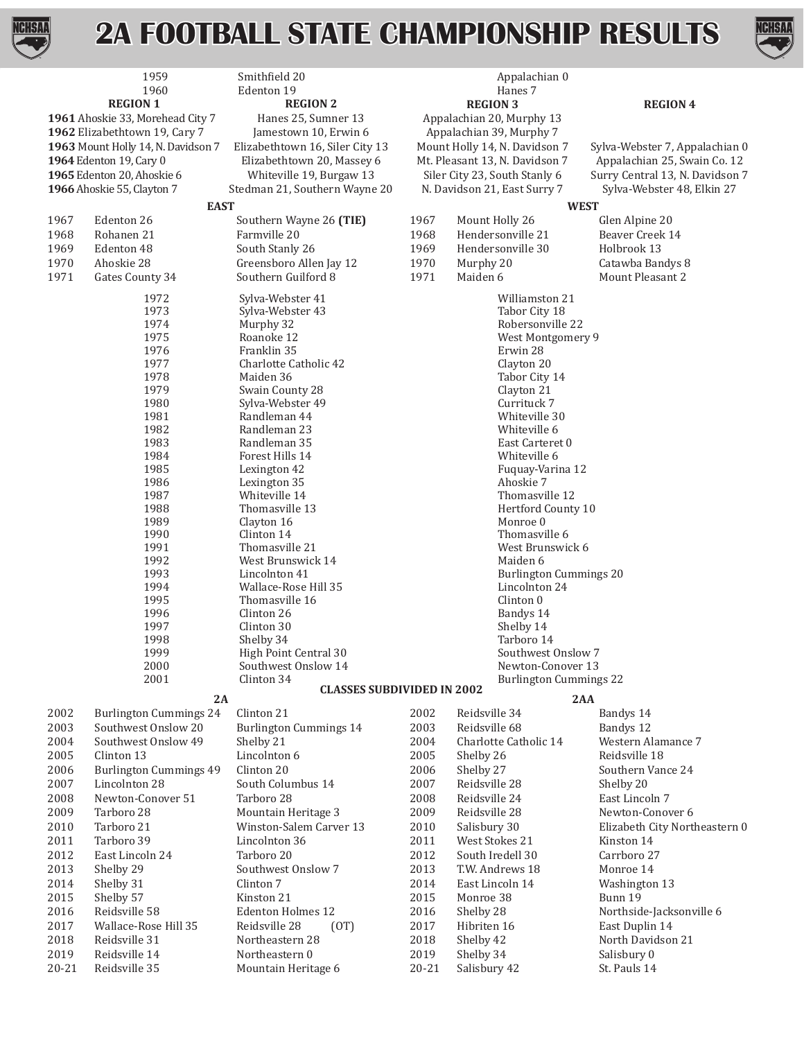

## **2A FOOTBALL STATE CHAMPIONSHIP RESULTS**



|                                  | 1959<br>1960                       | Smithfield 20<br>Edenton 19       |              | Appalachian 0<br>Hanes <sub>7</sub> |                                 |  |  |  |
|----------------------------------|------------------------------------|-----------------------------------|--------------|-------------------------------------|---------------------------------|--|--|--|
| <b>REGION 1</b>                  |                                    | <b>REGION 2</b>                   |              | <b>REGION 3</b>                     |                                 |  |  |  |
| 1961 Ahoskie 33, Morehead City 7 |                                    | Hanes 25, Sumner 13               |              | Appalachian 20, Murphy 13           | <b>REGION 4</b>                 |  |  |  |
|                                  |                                    |                                   |              |                                     |                                 |  |  |  |
|                                  | 1962 Elizabethtown 19, Cary 7      | Jamestown 10, Erwin 6             |              | Appalachian 39, Murphy 7            |                                 |  |  |  |
|                                  | 1963 Mount Holly 14, N. Davidson 7 | Elizabethtown 16, Siler City 13   |              | Mount Holly 14, N. Davidson 7       | Sylva-Webster 7, Appalachian 0  |  |  |  |
|                                  | 1964 Edenton 19, Cary 0            | Elizabethtown 20, Massey 6        |              | Mt. Pleasant 13, N. Davidson 7      | Appalachian 25, Swain Co. 12    |  |  |  |
|                                  | 1965 Edenton 20, Ahoskie 6         | Whiteville 19, Burgaw 13          |              | Siler City 23, South Stanly 6       | Surry Central 13, N. Davidson 7 |  |  |  |
|                                  | 1966 Ahoskie 55, Clayton 7         | Stedman 21, Southern Wayne 20     |              | N. Davidson 21, East Surry 7        | Sylva-Webster 48, Elkin 27      |  |  |  |
|                                  | <b>EAST</b>                        |                                   |              |                                     | <b>WEST</b>                     |  |  |  |
| 1967                             | Edenton 26                         | Southern Wayne 26 (TIE)           | 1967         | Mount Holly 26                      | Glen Alpine 20                  |  |  |  |
| 1968                             | Rohanen 21                         | Farmville 20                      | 1968         | Hendersonville 21                   | Beaver Creek 14                 |  |  |  |
| 1969                             | Edenton 48                         | South Stanly 26                   | 1969         | Hendersonville 30                   | Holbrook 13                     |  |  |  |
| 1970                             | Ahoskie 28                         | Greensboro Allen Jay 12           | 1970         | Murphy 20                           | Catawba Bandys 8                |  |  |  |
| 1971                             | Gates County 34                    | Southern Guilford 8               | 1971         | Maiden 6                            | Mount Pleasant 2                |  |  |  |
|                                  | 1972                               | Sylva-Webster 41                  |              | Williamston 21                      |                                 |  |  |  |
|                                  | 1973                               | Sylva-Webster 43                  |              | Tabor City 18                       |                                 |  |  |  |
|                                  | 1974                               | Murphy 32                         |              | Robersonville 22                    |                                 |  |  |  |
|                                  | 1975                               | Roanoke 12                        |              | West Montgomery 9                   |                                 |  |  |  |
|                                  | 1976                               | Franklin 35                       |              | Erwin 28                            |                                 |  |  |  |
|                                  | 1977                               | Charlotte Catholic 42             |              | Clayton 20                          |                                 |  |  |  |
|                                  | 1978                               | Maiden 36                         |              | Tabor City 14                       |                                 |  |  |  |
|                                  | 1979<br>1980                       | Swain County 28                   |              | Clayton 21<br>Currituck 7           |                                 |  |  |  |
|                                  | 1981                               | Sylva-Webster 49<br>Randleman 44  |              | Whiteville 30                       |                                 |  |  |  |
|                                  | 1982                               | Randleman 23                      |              | Whiteville 6                        |                                 |  |  |  |
|                                  | 1983                               | Randleman 35                      |              | East Carteret 0                     |                                 |  |  |  |
|                                  | 1984                               | Forest Hills 14                   |              | Whiteville 6                        |                                 |  |  |  |
|                                  | 1985                               | Fuquay-Varina 12<br>Lexington 42  |              |                                     |                                 |  |  |  |
|                                  | 1986                               | Lexington 35                      |              | Ahoskie 7                           |                                 |  |  |  |
|                                  | 1987                               | Whiteville 14                     |              | Thomasville 12                      |                                 |  |  |  |
|                                  | 1988                               | Thomasville 13                    |              | Hertford County 10                  |                                 |  |  |  |
|                                  | 1989                               | Clayton 16                        |              | Monroe 0                            |                                 |  |  |  |
|                                  | 1990                               | Clinton 14                        |              | Thomasville 6                       |                                 |  |  |  |
|                                  | 1991                               | Thomasville 21                    |              | West Brunswick 6                    |                                 |  |  |  |
|                                  | 1992                               | West Brunswick 14                 |              | Maiden 6                            |                                 |  |  |  |
|                                  | 1993                               | Lincolnton 41                     |              | <b>Burlington Cummings 20</b>       |                                 |  |  |  |
|                                  | 1994                               | Wallace-Rose Hill 35              |              | Lincolnton 24                       |                                 |  |  |  |
|                                  | 1995                               | Thomasville 16                    |              | Clinton <sub>0</sub>                |                                 |  |  |  |
|                                  | 1996<br>1997                       | Clinton 26<br>Clinton 30          |              | Bandys 14<br>Shelby 14              |                                 |  |  |  |
|                                  | 1998                               | Shelby 34                         |              | Tarboro 14                          |                                 |  |  |  |
|                                  | 1999                               | High Point Central 30             |              | Southwest Onslow 7                  |                                 |  |  |  |
|                                  | 2000                               | Southwest Onslow 14               |              | Newton-Conover 13                   |                                 |  |  |  |
|                                  | 2001                               | Clinton 34                        |              | <b>Burlington Cummings 22</b>       |                                 |  |  |  |
|                                  | 2A                                 | <b>CLASSES SUBDIVIDED IN 2002</b> |              |                                     | 2AA                             |  |  |  |
|                                  | <b>Burlington Cummings 24</b>      | Clinton 21                        | 2002         |                                     |                                 |  |  |  |
| 2002                             |                                    |                                   |              | Reidsville 34                       | Bandys 14                       |  |  |  |
| 2003                             | Southwest Onslow 20                | <b>Burlington Cummings 14</b>     | 2003<br>2004 | Reidsville 68                       | Bandys 12<br>Western Alamance 7 |  |  |  |
| 2004                             | Southwest Onslow 49                | Shelby 21                         |              | Charlotte Catholic 14               |                                 |  |  |  |
| 2005                             | Clinton 13                         | Lincolnton 6                      | 2005         | Shelby 26                           | Reidsville 18                   |  |  |  |
| 2006                             | <b>Burlington Cummings 49</b>      | Clinton 20                        | 2006         | Shelby 27                           | Southern Vance 24               |  |  |  |
| 2007                             | Lincolnton 28                      | South Columbus 14                 | 2007         | Reidsville 28                       | Shelby 20                       |  |  |  |
| 2008                             | Newton-Conover 51                  | Tarboro 28                        | 2008         | Reidsville 24                       | East Lincoln 7                  |  |  |  |
| 2009                             | Tarboro 28                         | Mountain Heritage 3               | 2009         | Reidsville 28                       | Newton-Conover 6                |  |  |  |
| 2010                             | Tarboro 21                         | Winston-Salem Carver 13           | 2010         | Salisbury 30                        | Elizabeth City Northeastern 0   |  |  |  |
| 2011                             | Tarboro 39                         | Lincolnton 36                     | 2011         | West Stokes 21                      | Kinston 14                      |  |  |  |
| 2012                             | East Lincoln 24                    | Tarboro 20                        | 2012         | South Iredell 30                    | Carrboro 27                     |  |  |  |
| 2013                             | Shelby 29                          | Southwest Onslow 7                | 2013         | T.W. Andrews 18                     | Monroe 14                       |  |  |  |
| 2014                             | Shelby 31                          | Clinton 7                         | 2014         | East Lincoln 14                     | Washington 13                   |  |  |  |
| 2015                             | Shelby 57                          | Kinston 21                        | 2015         | Monroe 38                           | Bunn 19                         |  |  |  |
| 2016                             | Reidsville 58                      | <b>Edenton Holmes 12</b>          | 2016         | Shelby 28                           | Northside-Jacksonville 6        |  |  |  |
| 2017                             | Wallace-Rose Hill 35               | Reidsville 28<br>(0T)             | 2017         | Hibriten 16                         | East Duplin 14                  |  |  |  |
| 2018                             | Reidsville 31                      | Northeastern 28                   | 2018         | Shelby 42                           | North Davidson 21               |  |  |  |

2019 Shelby 34 Salisbury 0<br>20-21 Salisbury 42 St. Pauls 14

Salisbury 42

2019 Reidsville 14 Northeastern 0<br>20-21 Reidsville 35 Mountain Herit

Mountain Heritage 6